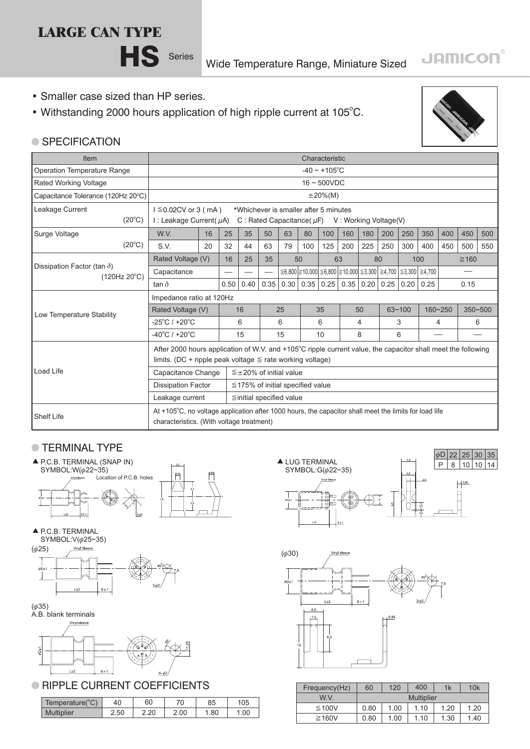## **LARGE CAN TYPE**



**HS** Series Wide Temperature Range, Miniature Sized

- Smaller case sized than HP series.
- Withstanding 2000 hours application of high ripple current at 105°C.



**JAMICON®** 

## ● SPECIFICATION

| Item                                               | Characteristic                                                                                               |      |      |                                        |                                     |                                                                                                           |      |                    |      |            |     |         |     |             |     |     |
|----------------------------------------------------|--------------------------------------------------------------------------------------------------------------|------|------|----------------------------------------|-------------------------------------|-----------------------------------------------------------------------------------------------------------|------|--------------------|------|------------|-----|---------|-----|-------------|-----|-----|
| <b>Operation Temperature Range</b>                 |                                                                                                              |      |      |                                        |                                     |                                                                                                           |      | $-40 \sim +105$ °C |      |            |     |         |     |             |     |     |
| Rated Working Voltage                              | $16 \sim 500$ VDC                                                                                            |      |      |                                        |                                     |                                                                                                           |      |                    |      |            |     |         |     |             |     |     |
| Capacitance Tolerance (120Hz 20°C)                 | $±20\%(M)$                                                                                                   |      |      |                                        |                                     |                                                                                                           |      |                    |      |            |     |         |     |             |     |     |
| Leakage Current                                    | $1 \leq 0.02$ CV or 3 (mA)<br>*Whichever is smaller after 5 minutes                                          |      |      |                                        |                                     |                                                                                                           |      |                    |      |            |     |         |     |             |     |     |
| $(20^{\circ}C)$                                    | I : Leakage Current( $\mu$ A)<br>C : Rated Capacitance ( $\mu$ F) V : Working Voltage (V)                    |      |      |                                        |                                     |                                                                                                           |      |                    |      |            |     |         |     |             |     |     |
| Surge Voltage                                      | W.V.                                                                                                         | 16   | 25   | 35                                     | 50                                  | 63                                                                                                        | 80   | 100                | 160  | 180        | 200 | 250     | 350 | 400         | 450 | 500 |
| $(20^{\circ}C)$                                    | S.V.                                                                                                         | 20   | 32   | 44                                     | 63                                  | 79                                                                                                        | 100  | 125                | 200  | 225        | 250 | 300     | 400 | 450         | 500 | 550 |
|                                                    | Rated Voltage (V)                                                                                            |      | 16   | 25                                     | 35                                  | 50                                                                                                        |      | 63                 |      | 80         |     | 100     |     | $\geq 160$  |     |     |
| Dissipation Factor (tan $\delta$ )<br>(120Hz 20°C) | Capacitance                                                                                                  |      |      |                                        |                                     | $\leq$ 6,800 $\geq$ 10,000 $\leq$ 6,800 $\geq$ 10,000 $\leq$ 3,300 $\geq$ 4,700 $\leq$ 3,300 $\geq$ 4,700 |      |                    |      |            |     |         |     |             |     |     |
|                                                    | tan $\delta$                                                                                                 | 0.50 | 0.40 | 0.35                                   | 0.30<br>0.35<br>0.25<br>0.35   0.20 |                                                                                                           | 0.25 | 0.20               | 0.25 |            |     | 0.15    |     |             |     |     |
|                                                    | Impedance ratio at 120Hz                                                                                     |      |      |                                        |                                     |                                                                                                           |      |                    |      |            |     |         |     |             |     |     |
|                                                    | Rated Voltage (V)                                                                                            | 16   |      | 25                                     |                                     | 35                                                                                                        |      | 50                 |      | $63 - 100$ |     | 160~250 |     | $350 - 500$ |     |     |
| Low Temperature Stability                          | $-25^{\circ}$ C / +20 $^{\circ}$ C                                                                           |      | 6    |                                        | 6                                   |                                                                                                           | 6    |                    | 4    |            | 3   |         | 4   |             | 6   |     |
|                                                    | $-40^{\circ}$ C / +20 $^{\circ}$ C                                                                           |      |      | 15                                     |                                     | 15                                                                                                        |      | 10                 |      | 8          |     | 6       |     |             |     |     |
|                                                    | After 2000 hours application of W.V. and +105°C ripple current value, the capacitor shall meet the following |      |      |                                        |                                     |                                                                                                           |      |                    |      |            |     |         |     |             |     |     |
|                                                    | limits. (DC + ripple peak voltage $\leq$ rate working voltage)                                               |      |      |                                        |                                     |                                                                                                           |      |                    |      |            |     |         |     |             |     |     |
| Load Life                                          | Capacitance Change                                                                                           |      |      | $\leq \pm 20\%$ of initial value       |                                     |                                                                                                           |      |                    |      |            |     |         |     |             |     |     |
|                                                    | <b>Dissipation Factor</b>                                                                                    |      |      | $\leq$ 175% of initial specified value |                                     |                                                                                                           |      |                    |      |            |     |         |     |             |     |     |
|                                                    | Leakage current                                                                                              |      |      | ≦initial specified value               |                                     |                                                                                                           |      |                    |      |            |     |         |     |             |     |     |
|                                                    | At +105°C, no voltage application after 1000 hours, the capacitor shall meet the limits for load life        |      |      |                                        |                                     |                                                                                                           |      |                    |      |            |     |         |     |             |     |     |
| <b>Shelf Life</b>                                  | characteristics. (With voltage treatment)                                                                    |      |      |                                        |                                     |                                                                                                           |      |                    |      |            |     |         |     |             |     |     |

## **TERMINAL TYPE**











A.B. blank terminals Vinyl sleeve



## **RIPPLE CURRENT COEFFICIENTS**

| Temperature( ${}^{\circ}$ C) | 40   | 60   |      | 85   | 105  |
|------------------------------|------|------|------|------|------|
| <b>Multiplier</b>            | 2.50 | 2.20 | 2.00 | . 80 | 1.00 |





| Frequency(Hz) | 60   | 120  | 1k                | 10k  |      |
|---------------|------|------|-------------------|------|------|
| W V           |      |      | <b>Multiplier</b> |      |      |
| ≤100V         | 0.80 | 1.00 | 1.10              | 1.20 | 1.20 |
| $\geq$ 160V   | 0.80 | 1.00 | 1.10              | 1.30 | 1.40 |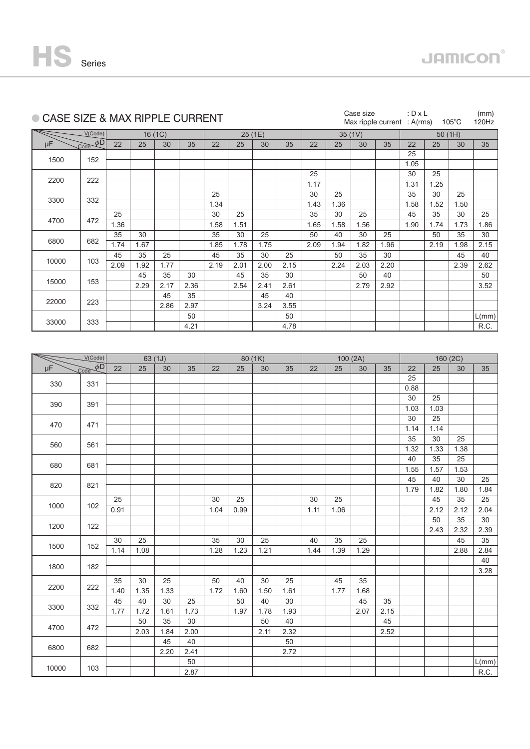

|       |                                      | ● CASE SIZE & MAX RIPPLE CURRENT |      |         |      |      |      |         |      |        |      | Case size |      |      | : $D \times L$<br>Max ripple current : $A(rms)$<br>$105^{\circ}$ C |          |       |  |
|-------|--------------------------------------|----------------------------------|------|---------|------|------|------|---------|------|--------|------|-----------|------|------|--------------------------------------------------------------------|----------|-------|--|
|       | V(Code)                              |                                  |      | 16(1C)  |      |      |      | 25 (1E) |      | 35(1V) |      |           |      |      | 50(1H)                                                             |          |       |  |
| μF    | $\overline{\mathcal{L}ode}$ $\phi$ D | 22                               | 25   | 30      | 35   | 22   | 25   | 30      | 35   | 22     | 25   | 30        | 35   | 22   | 25                                                                 | 30       | 35    |  |
|       |                                      |                                  |      |         |      |      |      |         |      |        |      |           |      | 25   |                                                                    |          |       |  |
| 1500  | 152                                  |                                  |      |         |      |      |      |         |      |        |      |           |      | 1.05 |                                                                    |          |       |  |
|       |                                      |                                  |      |         |      |      |      |         |      | 25     |      |           |      | 30   | 25                                                                 |          |       |  |
| 2200  | 222                                  |                                  |      |         |      |      |      |         |      | 1.17   |      |           |      | 1.31 | 1.25                                                               |          |       |  |
|       |                                      |                                  |      |         |      | 25   |      |         |      | 30     | 25   |           |      | 35   | 30                                                                 | 25       |       |  |
| 3300  | 332                                  |                                  |      |         |      | 1.34 |      |         |      | 1.43   | 1.36 |           |      | 1.58 | 1.52                                                               | 1.50     |       |  |
|       |                                      | 25                               |      |         |      | 30   | 25   |         |      | 35     | 30   | 25        |      | 45   | 35                                                                 | 30       | 25    |  |
| 4700  | 472                                  | 1.36                             |      |         |      | 1.58 | 1.51 |         |      | 1.65   | 1.58 | 1.56      |      | 1.90 | 1.74                                                               | 1.73     | 1.86  |  |
|       |                                      | 35                               | 30   |         |      | 35   | 30   | 25      |      | 50     | 40   | 30        | 25   |      | 50                                                                 | 35       | 30    |  |
| 6800  | 682                                  | 1.74                             | 1.67 |         |      | 1.85 | 1.78 | 1.75    |      | 2.09   | 1.94 | 1.82      | 1.96 |      | 2.19                                                               | 1.98     | 2.15  |  |
|       |                                      | 45                               | 35   | 25      |      | 45   | 35   | 30      | 25   |        | 50   | 35        | 30   |      |                                                                    | 45       | 40    |  |
| 10000 | 103                                  | 2.09                             | 1.92 | 1.77    |      | 2.19 | 2.01 | 2.00    | 2.15 |        | 2.24 | 2.03      | 2.20 |      |                                                                    | 2.39     | 2.62  |  |
|       |                                      |                                  | 45   | 35      | 30   |      | 45   | 35      | 30   |        |      | 50        | 40   |      |                                                                    |          | 50    |  |
| 15000 | 153                                  |                                  | 2.29 | 2.17    | 2.36 |      | 2.54 | 2.41    | 2.61 |        |      | 2.79      | 2.92 |      |                                                                    |          | 3.52  |  |
|       |                                      |                                  |      | 45      | 35   |      |      | 45      | 40   |        |      |           |      |      |                                                                    |          |       |  |
| 22000 | 223                                  |                                  |      | 2.86    | 2.97 |      |      | 3.24    | 3.55 |        |      |           |      |      |                                                                    |          |       |  |
|       |                                      |                                  |      |         | 50   |      |      |         | 50   |        |      |           |      |      |                                                                    |          | L(mm) |  |
| 33000 | 333                                  |                                  |      |         | 4.21 |      |      |         | 4.78 |        |      |           |      |      |                                                                    |          | R.C.  |  |
|       |                                      |                                  |      |         |      |      |      |         |      |        |      |           |      |      |                                                                    |          |       |  |
|       |                                      |                                  |      |         |      |      |      |         |      |        |      |           |      |      |                                                                    |          |       |  |
|       |                                      |                                  |      |         |      |      |      |         |      |        |      |           |      |      |                                                                    |          |       |  |
|       | V(Code)                              |                                  |      | 63 (1J) |      |      |      | 80 (1K) |      |        |      | 100(2A)   |      |      |                                                                    | 160 (2C) |       |  |
| μF    | $\overline{\text{Code }} \phi$ D     | 22                               | 25   | 30      | 35   | 22   | 25   | 30      | 35   | 22     | 25   | 30        | 35   | 22   | 25                                                                 | 30       | 35    |  |
| 330   | 331                                  |                                  |      |         |      |      |      |         |      |        |      |           |      | 25   |                                                                    |          |       |  |
|       |                                      |                                  |      |         |      |      |      |         |      |        |      |           |      | 0.88 |                                                                    |          |       |  |
| 390   | 391                                  |                                  |      |         |      |      |      |         |      |        |      |           |      | 30   | 25                                                                 |          |       |  |
|       |                                      |                                  |      |         |      |      |      |         |      |        |      |           |      | 1.03 | 1.03                                                               |          |       |  |
| 470   | 471                                  |                                  |      |         |      |      |      |         |      |        |      |           |      | 30   | 25                                                                 |          |       |  |
|       |                                      |                                  |      |         |      |      |      |         |      |        |      |           |      | 1.14 | 1.14                                                               |          |       |  |
| 560   | 561                                  |                                  |      |         |      |      |      |         |      |        |      |           |      | 35   | 30                                                                 | 25       |       |  |
|       |                                      |                                  |      |         |      |      |      |         |      |        |      |           |      | 1.32 | 1.33                                                               | 1.38     |       |  |
| 680   | 681                                  |                                  |      |         |      |      |      |         |      |        |      |           |      | 40   | 35                                                                 | 25       |       |  |
|       |                                      |                                  |      |         |      |      |      |         |      |        |      |           |      | 1.55 | 1.57                                                               | 1.53     |       |  |
|       |                                      |                                  |      |         |      |      |      |         |      |        |      |           |      | 45   | 40                                                                 | 30       | 25    |  |
| 820   | 821                                  |                                  |      |         |      |      |      |         |      |        |      |           |      | 1.79 | 1.82                                                               | 1.80     | 1.84  |  |
|       |                                      | 25                               |      |         |      | 30   | 25   |         |      | 30     | 25   |           |      |      | 45                                                                 | 35       | 25    |  |
| 1000  | 102                                  | 0.91                             |      |         |      | 1.04 | 0.99 |         |      | 1.11   | 1.06 |           |      |      | 2.12                                                               | 2.12     | 2.04  |  |
|       |                                      |                                  |      |         |      |      |      |         |      |        |      |           |      |      | 50                                                                 | 35       | 30    |  |
| 1200  | 122                                  |                                  |      |         |      |      |      |         |      |        |      |           |      |      | 2.43                                                               | 2.32     | 2.39  |  |
|       |                                      | 30                               | 25   |         |      | 35   | 30   | 25      |      | 40     | 35   | 25        |      |      |                                                                    | 45       | 35    |  |
| 1500  | 152                                  | 1.14                             | 1.08 |         |      | 1.28 | 1.23 | 1.21    |      | 1.44   | 1.39 | 1.29      |      |      |                                                                    | 2.88     | 2.84  |  |
|       |                                      |                                  |      |         |      |      |      |         |      |        |      |           |      |      |                                                                    |          | 40    |  |
| 1800  | 182                                  |                                  |      |         |      |      |      |         |      |        |      |           |      |      |                                                                    |          | 3.28  |  |
|       |                                      | 35                               | 30   | 25      |      | 50   | 40   | 30      | 25   |        | 45   | 35        |      |      |                                                                    |          |       |  |
| 2200  | 222                                  | 1.40                             | 1.35 | 1.33    |      | 1.72 | 1.60 | 1.50    | 1.61 |        | 1.77 | 1.68      |      |      |                                                                    |          |       |  |
|       |                                      | 45                               | 40   | 30      | 25   |      | 50   | 40      | 30   |        |      | 45        | 35   |      |                                                                    |          |       |  |
| 3300  | 332                                  | 1.77                             | 1.72 | 1.61    | 1.73 |      | 1.97 | 1.78    | 1.93 |        |      | 2.07      | 2.15 |      |                                                                    |          |       |  |
|       |                                      |                                  | 50   | 35      | 30   |      |      | 50      | 40   |        |      |           | 45   |      |                                                                    |          |       |  |
| 4700  | 472                                  |                                  | 2.03 | 1.84    | 2.00 |      |      | 2.11    | 2.32 |        |      |           | 2.52 |      |                                                                    |          |       |  |
|       |                                      |                                  |      | 45      | 40   |      |      |         | 50   |        |      |           |      |      |                                                                    |          |       |  |
| 6800  | 682                                  |                                  |      | 2.20    | 2.41 |      |      |         | 2.72 |        |      |           |      |      |                                                                    |          |       |  |
|       |                                      |                                  |      |         | 50   |      |      |         |      |        |      |           |      |      |                                                                    |          | L(mm) |  |
| 10000 | 103                                  |                                  |      |         | 2.87 |      |      |         |      |        |      |           |      |      |                                                                    |          | R.C.  |  |
|       |                                      |                                  |      |         |      |      |      |         |      |        |      |           |      |      |                                                                    |          |       |  |